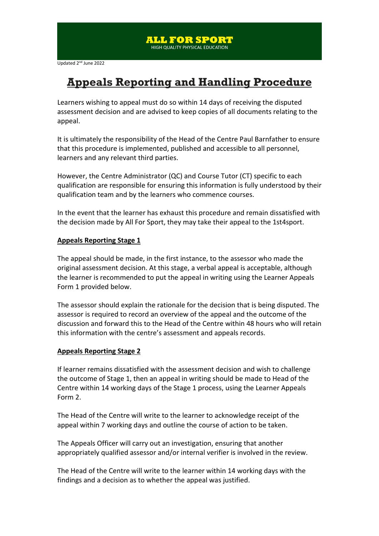# **Appeals Reporting and Handling Procedure**

Learners wishing to appeal must do so within 14 days of receiving the disputed assessment decision and are advised to keep copies of all documents relating to the appeal.

It is ultimately the responsibility of the Head of the Centre Paul Barnfather to ensure that this procedure is implemented, published and accessible to all personnel, learners and any relevant third parties.

However, the Centre Administrator (QC) and Course Tutor (CT) specific to each qualification are responsible for ensuring this information is fully understood by their qualification team and by the learners who commence courses.

In the event that the learner has exhaust this procedure and remain dissatisfied with the decision made by All For Sport, they may take their appeal to the 1st4sport.

#### **Appeals Reporting Stage 1**

The appeal should be made, in the first instance, to the assessor who made the original assessment decision. At this stage, a verbal appeal is acceptable, although the learner is recommended to put the appeal in writing using the Learner Appeals Form 1 provided below.

The assessor should explain the rationale for the decision that is being disputed. The assessor is required to record an overview of the appeal and the outcome of the discussion and forward this to the Head of the Centre within 48 hours who will retain this information with the centre's assessment and appeals records.

#### **Appeals Reporting Stage 2**

If learner remains dissatisfied with the assessment decision and wish to challenge the outcome of Stage 1, then an appeal in writing should be made to Head of the Centre within 14 working days of the Stage 1 process, using the Learner Appeals Form 2.

The Head of the Centre will write to the learner to acknowledge receipt of the appeal within 7 working days and outline the course of action to be taken.

The Appeals Officer will carry out an investigation, ensuring that another appropriately qualified assessor and/or internal verifier is involved in the review.

The Head of the Centre will write to the learner within 14 working days with the findings and a decision as to whether the appeal was justified.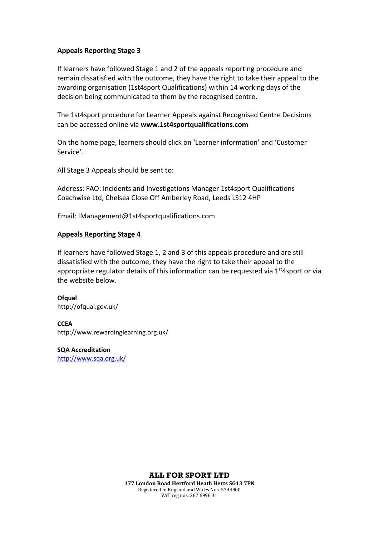#### **Appeals Reporting Stage 3**

If learners have followed Stage 1 and 2 of the appeals reporting procedure and remain dissatisfied with the outcome, they have the right to take their appeal to the awarding organisation (1st4sport Qualifications) within 14 working days of the decision being communicated to them by the recognised centre.

The 1st4sport procedure for Learner Appeals against Recognised Centre Decisions can be accessed online via **www.1st4sportqualifications.com**

On the home page, learners should click on 'Learner information' and 'Customer Service'.

All Stage 3 Appeals should be sent to:

Address: FAO: Incidents and Investigations Manager 1st4sport Qualifications Coachwise Ltd, Chelsea Close Off Amberley Road, Leeds LS12 4HP

Email: IManagement@1st4sportqualifications.com

#### **Appeals Reporting Stage 4**

If learners have followed Stage 1, 2 and 3 of this appeals procedure and are still dissatisfied with the outcome, they have the right to take their appeal to the appropriate regulator details of this information can be requested via  $1<sup>st</sup>4$ sport or via the website below.

**Ofqual**  <http://ofqual.gov.uk/>

**CCEA** <http://www.rewardinglearning.org.uk/>

**SQA Accreditation**  <http://www.sqa.org.uk/>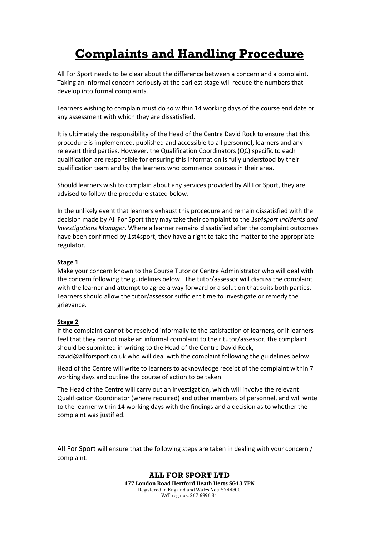# **Complaints and Handling Procedure**

All For Sport needs to be clear about the difference between a concern and a complaint. Taking an informal concern seriously at the earliest stage will reduce the numbers that develop into formal complaints.

Learners wishing to complain must do so within 14 working days of the course end date or any assessment with which they are dissatisfied.

It is ultimately the responsibility of the Head of the Centre David Rock to ensure that this procedure is implemented, published and accessible to all personnel, learners and any relevant third parties. However, the Qualification Coordinators (QC) specific to each qualification are responsible for ensuring this information is fully understood by their qualification team and by the learners who commence courses in their area.

Should learners wish to complain about any services provided by All For Sport, they are advised to follow the procedure stated below.

In the unlikely event that learners exhaust this procedure and remain dissatisfied with the decision made by All For Sport they may take their complaint to the *1st4sport Incidents and Investigations Manager*. Where a learner remains dissatisfied after the complaint outcomes have been confirmed by 1st4sport, they have a right to take the matter to the appropriate regulator.

#### **Stage 1**

Make your concern known to the Course Tutor or Centre Administrator who will deal with the concern following the guidelines below. The tutor/assessor will discuss the complaint with the learner and attempt to agree a way forward or a solution that suits both parties. Learners should allow the tutor/assessor sufficient time to investigate or remedy the grievance.

#### **Stage 2**

If the complaint cannot be resolved informally to the satisfaction of learners, or if learners feel that they cannot make an informal complaint to their tutor/assessor, the complaint should be submitted in writing to the Head of the Centre David Rock, david@allforsport.co.uk who will deal with the complaint following the guidelines below.

Head of the Centre will write to learners to acknowledge receipt of the complaint within 7 working days and outline the course of action to be taken.

The Head of the Centre will carry out an investigation, which will involve the relevant Qualification Coordinator (where required) and other members of personnel, and will write to the learner within 14 working days with the findings and a decision as to whether the complaint was justified.

All For Sport will ensure that the following steps are taken in dealing with your concern / complaint.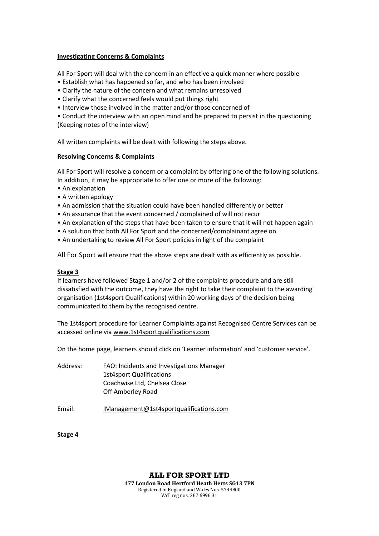#### **Investigating Concerns & Complaints**

All For Sport will deal with the concern in an effective a quick manner where possible

- Establish what has happened so far, and who has been involved
- Clarify the nature of the concern and what remains unresolved
- Clarify what the concerned feels would put things right
- Interview those involved in the matter and/or those concerned of

• Conduct the interview with an open mind and be prepared to persist in the questioning (Keeping notes of the interview)

All written complaints will be dealt with following the steps above.

#### **Resolving Concerns & Complaints**

All For Sport will resolve a concern or a complaint by offering one of the following solutions. In addition, it may be appropriate to offer one or more of the following:

- An explanation
- A written apology
- An admission that the situation could have been handled differently or better
- An assurance that the event concerned / complained of will not recur
- An explanation of the steps that have been taken to ensure that it will not happen again
- A solution that both All For Sport and the concerned/complainant agree on
- An undertaking to review All For Sport policies in light of the complaint

All For Sport will ensure that the above steps are dealt with as efficiently as possible.

#### **Stage 3**

If learners have followed Stage 1 and/or 2 of the complaints procedure and are still dissatisfied with the outcome, they have the right to take their complaint to the awarding organisation (1st4sport Qualifications) within 20 working days of the decision being communicated to them by the recognised centre.

The 1st4sport procedure for Learner Complaints against Recognised Centre Services can be accessed online via [www.1st4sportqualifications.com](http://www.1st4sportqualifications.com/) 

On the home page, learners should click on 'Learner information' and 'customer service'.

| Address: | FAO: Incidents and Investigations Manager |
|----------|-------------------------------------------|
|          | <b>1st4sport Qualifications</b>           |
|          | Coachwise Ltd, Chelsea Close              |
|          | Off Amberley Road                         |
|          |                                           |

Email: [IManagement@1st4sportqualifications.com](mailto:psmith@1st4sportqualifications.com)

#### **Stage 4**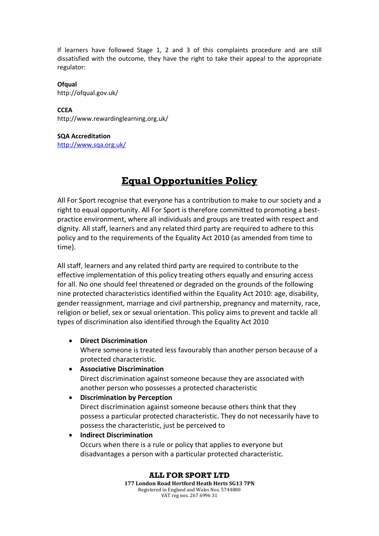If learners have followed Stage 1, 2 and 3 of this complaints procedure and are still dissatisfied with the outcome, they have the right to take their appeal to the appropriate regulator:

#### **Ofqual**  <http://ofqual.gov.uk/>

**CCEA** <http://www.rewardinglearning.org.uk/>

#### **SQA Accreditation**  <http://www.sqa.org.uk/>

# **Equal Opportunities Policy**

All For Sport recognise that everyone has a contribution to make to our society and a right to equal opportunity. All For Sport is therefore committed to promoting a bestpractice environment, where all individuals and groups are treated with respect and dignity. All staff, learners and any related third party are required to adhere to this policy and to the requirements of the Equality Act 2010 (as amended from time to time).

All staff, learners and any related third party are required to contribute to the effective implementation of this policy treating others equally and ensuring access for all. No one should feel threatened or degraded on the grounds of the following nine protected characteristics identified within the Equality Act 2010: age, disability, gender reassignment, marriage and civil partnership, pregnancy and maternity, race, religion or belief, sex or sexual orientation. This policy aims to prevent and tackle all types of discrimination also identified through the Equality Act 2010

### • **Direct Discrimination**

Where someone is treated less favourably than another person because of a protected characteristic.

### • **Associative Discrimination**

Direct discrimination against someone because they are associated with another person who possesses a protected characteristic

### • **Discrimination by Perception**

Direct discrimination against someone because others think that they possess a particular protected characteristic. They do not necessarily have to possess the characteristic, just be perceived to

• **Indirect Discrimination**

Occurs when there is a rule or policy that applies to everyone but disadvantages a person with a particular protected characteristic.

**ALL FOR SPORT LTD**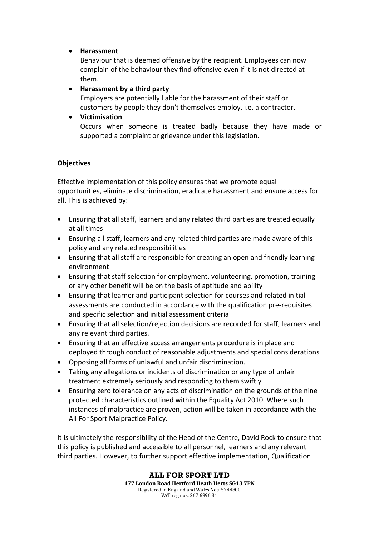### • **Harassment**

Behaviour that is deemed offensive by the recipient. Employees can now complain of the behaviour they find offensive even if it is not directed at them.

### • **Harassment by a third party**

Employers are potentially liable for the harassment of their staff or customers by people they don't themselves employ, i.e. a contractor.

### • **Victimisation**

Occurs when someone is treated badly because they have made or supported a complaint or grievance under this legislation.

### **Objectives**

Effective implementation of this policy ensures that we promote equal opportunities, eliminate discrimination, eradicate harassment and ensure access for all. This is achieved by:

- Ensuring that all staff, learners and any related third parties are treated equally at all times
- Ensuring all staff, learners and any related third parties are made aware of this policy and any related responsibilities
- Ensuring that all staff are responsible for creating an open and friendly learning environment
- Ensuring that staff selection for employment, volunteering, promotion, training or any other benefit will be on the basis of aptitude and ability
- Ensuring that learner and participant selection for courses and related initial assessments are conducted in accordance with the qualification pre-requisites and specific selection and initial assessment criteria
- Ensuring that all selection/rejection decisions are recorded for staff, learners and any relevant third parties.
- Ensuring that an effective access arrangements procedure is in place and deployed through conduct of reasonable adjustments and special considerations
- Opposing all forms of unlawful and unfair discrimination.
- Taking any allegations or incidents of discrimination or any type of unfair treatment extremely seriously and responding to them swiftly
- Ensuring zero tolerance on any acts of discrimination on the grounds of the nine protected characteristics outlined within the Equality Act 2010. Where such instances of malpractice are proven, action will be taken in accordance with the All For Sport Malpractice Policy.

It is ultimately the responsibility of the Head of the Centre, David Rock to ensure that this policy is published and accessible to all personnel, learners and any relevant third parties. However, to further support effective implementation, Qualification

#### **ALL FOR SPORT LTD 177 London Road Hertford Heath Herts SG13 7PN** Registered in England and Wales Nos. 5744800

VAT reg nos. 267 6996 31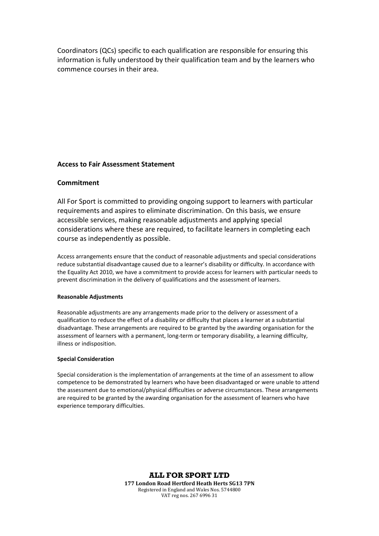Coordinators (QCs) specific to each qualification are responsible for ensuring this information is fully understood by their qualification team and by the learners who commence courses in their area.

#### **Access to Fair Assessment Statement**

#### **Commitment**

All For Sport is committed to providing ongoing support to learners with particular requirements and aspires to eliminate discrimination. On this basis, we ensure accessible services, making reasonable adjustments and applying special considerations where these are required, to facilitate learners in completing each course as independently as possible.

Access arrangements ensure that the conduct of reasonable adjustments and special considerations reduce substantial disadvantage caused due to a learner's disability or difficulty. In accordance with the Equality Act 2010, we have a commitment to provide access for learners with particular needs to prevent discrimination in the delivery of qualifications and the assessment of learners.

#### **Reasonable Adjustments**

Reasonable adjustments are any arrangements made prior to the delivery or assessment of a qualification to reduce the effect of a disability or difficulty that places a learner at a substantial disadvantage. These arrangements are required to be granted by the awarding organisation for the assessment of learners with a permanent, long-term or temporary disability, a learning difficulty, illness or indisposition.

#### **Special Consideration**

Special consideration is the implementation of arrangements at the time of an assessment to allow competence to be demonstrated by learners who have been disadvantaged or were unable to attend the assessment due to emotional/physical difficulties or adverse circumstances. These arrangements are required to be granted by the awarding organisation for the assessment of learners who have experience temporary difficulties.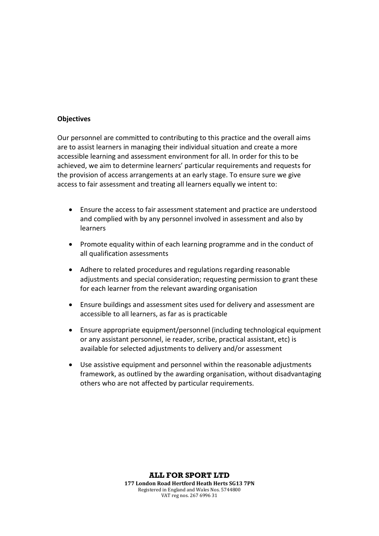#### **Objectives**

Our personnel are committed to contributing to this practice and the overall aims are to assist learners in managing their individual situation and create a more accessible learning and assessment environment for all. In order for this to be achieved, we aim to determine learners' particular requirements and requests for the provision of access arrangements at an early stage. To ensure sure we give access to fair assessment and treating all learners equally we intent to:

- Ensure the access to fair assessment statement and practice are understood and complied with by any personnel involved in assessment and also by learners
- Promote equality within of each learning programme and in the conduct of all qualification assessments
- Adhere to related procedures and regulations regarding reasonable adjustments and special consideration; requesting permission to grant these for each learner from the relevant awarding organisation
- Ensure buildings and assessment sites used for delivery and assessment are accessible to all learners, as far as is practicable
- Ensure appropriate equipment/personnel (including technological equipment or any assistant personnel, ie reader, scribe, practical assistant, etc) is available for selected adjustments to delivery and/or assessment
- Use assistive equipment and personnel within the reasonable adjustments framework, as outlined by the awarding organisation, without disadvantaging others who are not affected by particular requirements.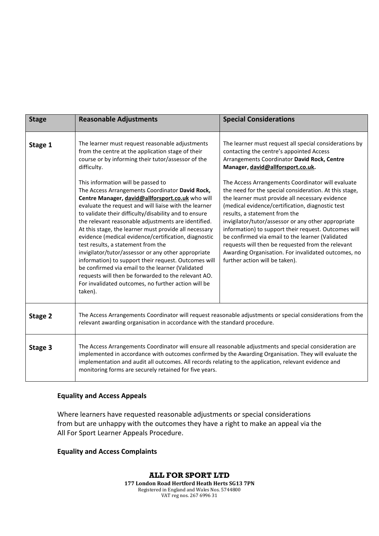| <b>Stage</b> | <b>Reasonable Adjustments</b>                                                                                                                                                                                                                                                                                                                                                                                                                                                                                                                                                                                                                                                                                                                                                                                                                                                                                                                      | <b>Special Considerations</b>                                                                                                                                                                                                                                                                                                                                                                                                                                                                                                                                                                                                                                                                                                                                  |  |
|--------------|----------------------------------------------------------------------------------------------------------------------------------------------------------------------------------------------------------------------------------------------------------------------------------------------------------------------------------------------------------------------------------------------------------------------------------------------------------------------------------------------------------------------------------------------------------------------------------------------------------------------------------------------------------------------------------------------------------------------------------------------------------------------------------------------------------------------------------------------------------------------------------------------------------------------------------------------------|----------------------------------------------------------------------------------------------------------------------------------------------------------------------------------------------------------------------------------------------------------------------------------------------------------------------------------------------------------------------------------------------------------------------------------------------------------------------------------------------------------------------------------------------------------------------------------------------------------------------------------------------------------------------------------------------------------------------------------------------------------------|--|
| Stage 1      | The learner must request reasonable adjustments<br>from the centre at the application stage of their<br>course or by informing their tutor/assessor of the<br>difficulty.<br>This information will be passed to<br>The Access Arrangements Coordinator David Rock,<br>Centre Manager, david@allforsport.co.uk who will<br>evaluate the request and will liaise with the learner<br>to validate their difficulty/disability and to ensure<br>the relevant reasonable adjustments are identified.<br>At this stage, the learner must provide all necessary<br>evidence (medical evidence/certification, diagnostic<br>test results, a statement from the<br>invigilator/tutor/assessor or any other appropriate<br>information) to support their request. Outcomes will<br>be confirmed via email to the learner (Validated<br>requests will then be forwarded to the relevant AO.<br>For invalidated outcomes, no further action will be<br>taken). | The learner must request all special considerations by<br>contacting the centre's appointed Access<br>Arrangements Coordinator David Rock, Centre<br>Manager, david@allforsport.co.uk.<br>The Access Arrangements Coordinator will evaluate<br>the need for the special consideration. At this stage,<br>the learner must provide all necessary evidence<br>(medical evidence/certification, diagnostic test<br>results, a statement from the<br>invigilator/tutor/assessor or any other appropriate<br>information) to support their request. Outcomes will<br>be confirmed via email to the learner (Validated<br>requests will then be requested from the relevant<br>Awarding Organisation. For invalidated outcomes, no<br>further action will be taken). |  |
| Stage 2      | The Access Arrangements Coordinator will request reasonable adjustments or special considerations from the<br>relevant awarding organisation in accordance with the standard procedure.                                                                                                                                                                                                                                                                                                                                                                                                                                                                                                                                                                                                                                                                                                                                                            |                                                                                                                                                                                                                                                                                                                                                                                                                                                                                                                                                                                                                                                                                                                                                                |  |
| Stage 3      | The Access Arrangements Coordinator will ensure all reasonable adjustments and special consideration are<br>implemented in accordance with outcomes confirmed by the Awarding Organisation. They will evaluate the<br>implementation and audit all outcomes. All records relating to the application, relevant evidence and<br>monitoring forms are securely retained for five years.                                                                                                                                                                                                                                                                                                                                                                                                                                                                                                                                                              |                                                                                                                                                                                                                                                                                                                                                                                                                                                                                                                                                                                                                                                                                                                                                                |  |

#### **Equality and Access Appeals**

Where learners have requested reasonable adjustments or special considerations from but are unhappy with the outcomes they have a right to make an appeal via the All For Sport Learner Appeals Procedure.

### **Equality and Access Complaints**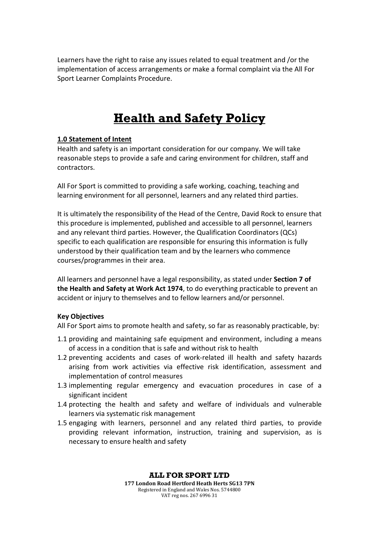Learners have the right to raise any issues related to equal treatment and /or the implementation of access arrangements or make a formal complaint via the All For Sport Learner Complaints Procedure.

# **Health and Safety Policy**

### **1.0 Statement of Intent**

Health and safety is an important consideration for our company. We will take reasonable steps to provide a safe and caring environment for children, staff and contractors.

All For Sport is committed to providing a safe working, coaching, teaching and learning environment for all personnel, learners and any related third parties.

It is ultimately the responsibility of the Head of the Centre, David Rock to ensure that this procedure is implemented, published and accessible to all personnel, learners and any relevant third parties. However, the Qualification Coordinators (QCs) specific to each qualification are responsible for ensuring this information is fully understood by their qualification team and by the learners who commence courses/programmes in their area.

All learners and personnel have a legal responsibility, as stated under **Section 7 of the Health and Safety at Work Act 1974**, to do everything practicable to prevent an accident or injury to themselves and to fellow learners and/or personnel.

### **Key Objectives**

All For Sport aims to promote health and safety, so far as reasonably practicable, by:

- 1.1 providing and maintaining safe equipment and environment, including a means of access in a condition that is safe and without risk to health
- 1.2 preventing accidents and cases of work-related ill health and safety hazards arising from work activities via effective risk identification, assessment and implementation of control measures
- 1.3 implementing regular emergency and evacuation procedures in case of a significant incident
- 1.4 protecting the health and safety and welfare of individuals and vulnerable learners via systematic risk management
- 1.5 engaging with learners, personnel and any related third parties, to provide providing relevant information, instruction, training and supervision, as is necessary to ensure health and safety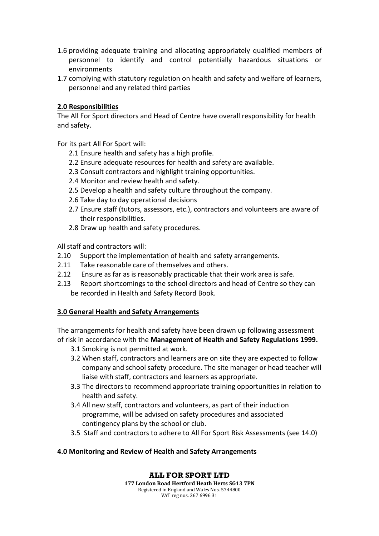- 1.6 providing adequate training and allocating appropriately qualified members of personnel to identify and control potentially hazardous situations or environments
- 1.7 complying with statutory regulation on health and safety and welfare of learners, personnel and any related third parties

### **2.0 Responsibilities**

The All For Sport directors and Head of Centre have overall responsibility for health and safety.

For its part All For Sport will:

- 2.1 Ensure health and safety has a high profile.
- 2.2 Ensure adequate resources for health and safety are available.
- 2.3 Consult contractors and highlight training opportunities.
- 2.4 Monitor and review health and safety.
- 2.5 Develop a health and safety culture throughout the company.
- 2.6 Take day to day operational decisions
- 2.7 Ensure staff (tutors, assessors, etc.), contractors and volunteers are aware of their responsibilities.
- 2.8 Draw up health and safety procedures.

All staff and contractors will:

- 2.10 Support the implementation of health and safety arrangements.
- 2.11 Take reasonable care of themselves and others.
- 2.12 Ensure as far as is reasonably practicable that their work area is safe.
- 2.13 Report shortcomings to the school directors and head of Centre so they can be recorded in Health and Safety Record Book.

#### **3.0 General Health and Safety Arrangements**

The arrangements for health and safety have been drawn up following assessment of risk in accordance with the **Management of Health and Safety Regulations 1999.**

- 3.1 Smoking is not permitted at work.
- 3.2 When staff, contractors and learners are on site they are expected to follow company and school safety procedure. The site manager or head teacher will liaise with staff, contractors and learners as appropriate.
- 3.3 The directors to recommend appropriate training opportunities in relation to health and safety.
- 3.4 All new staff, contractors and volunteers, as part of their induction programme, will be advised on safety procedures and associated contingency plans by the school or club.
- 3.5 Staff and contractors to adhere to All For Sport Risk Assessments (see 14.0)

### **4.0 Monitoring and Review of Health and Safety Arrangements**

### **ALL FOR SPORT LTD**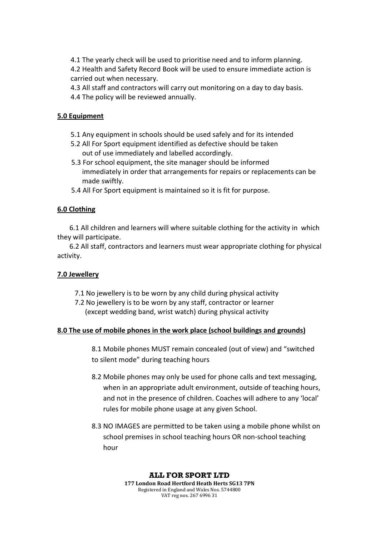4.1 The yearly check will be used to prioritise need and to inform planning. 4.2 Health and Safety Record Book will be used to ensure immediate action is carried out when necessary.

- 4.3 All staff and contractors will carry out monitoring on a day to day basis.
- 4.4 The policy will be reviewed annually.

### **5.0 Equipment**

- 5.1 Any equipment in schools should be used safely and for its intended
- 5.2 All For Sport equipment identified as defective should be taken out of use immediately and labelled accordingly.
- 5.3 For school equipment, the site manager should be informed immediately in order that arrangements for repairs or replacements can be made swiftly.
- 5.4 All For Sport equipment is maintained so it is fit for purpose.

### **6.0 Clothing**

 6.1 All children and learners will where suitable clothing for the activity in which they will participate.

 6.2 All staff, contractors and learners must wear appropriate clothing for physical activity.

### **7.0 Jewellery**

- 7.1 No jewellery is to be worn by any child during physical activity
- 7.2 No jewellery is to be worn by any staff, contractor or learner (except wedding band, wrist watch) during physical activity

### **8.0 The use of mobile phones in the work place (school buildings and grounds)**

8.1 Mobile phones MUST remain concealed (out of view) and "switched to silent mode" during teaching hours

- 8.2 Mobile phones may only be used for phone calls and text messaging, when in an appropriate adult environment, outside of teaching hours, and not in the presence of children. Coaches will adhere to any 'local' rules for mobile phone usage at any given School.
- 8.3 NO IMAGES are permitted to be taken using a mobile phone whilst on school premises in school teaching hours OR non-school teaching hour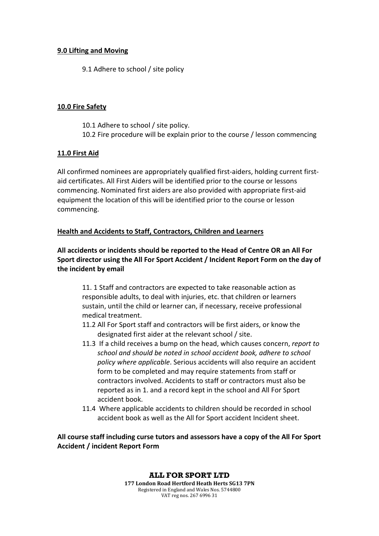### **9.0 Lifting and Moving**

9.1 Adhere to school / site policy

### **10.0 Fire Safety**

10.1 Adhere to school / site policy. 10.2 Fire procedure will be explain prior to the course / lesson commencing

### **11.0 First Aid**

All confirmed nominees are appropriately qualified first-aiders, holding current firstaid certificates. All First Aiders will be identified prior to the course or lessons commencing. Nominated first aiders are also provided with appropriate first-aid equipment the location of this will be identified prior to the course or lesson commencing.

### **Health and Accidents to Staff, Contractors, Children and Learners**

**All accidents or incidents should be reported to the Head of Centre OR an All For Sport director using the All For Sport Accident / Incident Report Form on the day of the incident by email**

11. 1 Staff and contractors are expected to take reasonable action as responsible adults, to deal with injuries, etc. that children or learners sustain, until the child or learner can, if necessary, receive professional medical treatment.

- 11.2 All For Sport staff and contractors will be first aiders, or know the designated first aider at the relevant school / site.
- 11.3 If a child receives a bump on the head, which causes concern, *report to school and should be noted in school accident book, adhere to school policy where applicable*. Serious accidents will also require an accident form to be completed and may require statements from staff or contractors involved. Accidents to staff or contractors must also be reported as in 1. and a record kept in the school and All For Sport accident book.
- 11.4 Where applicable accidents to children should be recorded in school accident book as well as the All for Sport accident Incident sheet.

**All course staff including curse tutors and assessors have a copy of the All For Sport Accident / incident Report Form**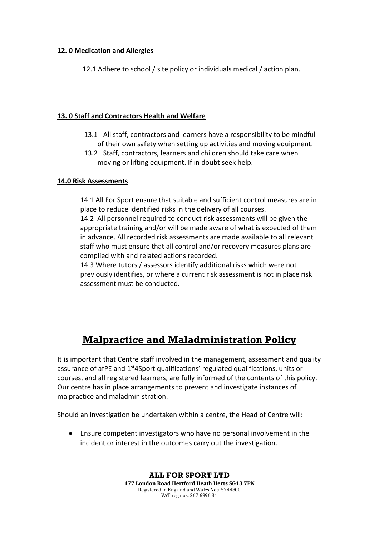### **12. 0 Medication and Allergies**

12.1 Adhere to school / site policy or individuals medical / action plan.

### **13. 0 Staff and Contractors Health and Welfare**

- 13.1 All staff, contractors and learners have a responsibility to be mindful of their own safety when setting up activities and moving equipment.
- 13.2 Staff, contractors, learners and children should take care when moving or lifting equipment. If in doubt seek help.

### **14.0 Risk Assessments**

14.1 All For Sport ensure that suitable and sufficient control measures are in place to reduce identified risks in the delivery of all courses.

14.2 All personnel required to conduct risk assessments will be given the appropriate training and/or will be made aware of what is expected of them in advance. All recorded risk assessments are made available to all relevant staff who must ensure that all control and/or recovery measures plans are complied with and related actions recorded.

14.3 Where tutors / assessors identify additional risks which were not previously identifies, or where a current risk assessment is not in place risk assessment must be conducted.

# **Malpractice and Maladministration Policy**

It is important that Centre staff involved in the management, assessment and quality assurance of afPE and 1<sup>st</sup>4Sport qualifications' regulated qualifications, units or courses, and all registered learners, are fully informed of the contents of this policy. Our centre has in place arrangements to prevent and investigate instances of malpractice and maladministration.

Should an investigation be undertaken within a centre, the Head of Centre will:

• Ensure competent investigators who have no personal involvement in the incident or interest in the outcomes carry out the investigation.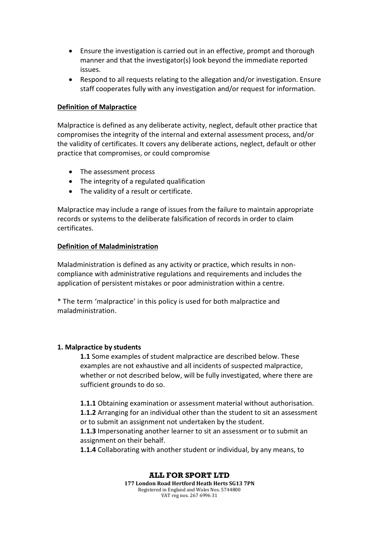- Ensure the investigation is carried out in an effective, prompt and thorough manner and that the investigator(s) look beyond the immediate reported issues.
- Respond to all requests relating to the allegation and/or investigation. Ensure staff cooperates fully with any investigation and/or request for information.

### **Definition of Malpractice**

Malpractice is defined as any deliberate activity, neglect, default other practice that compromises the integrity of the internal and external assessment process, and/or the validity of certificates. It covers any deliberate actions, neglect, default or other practice that compromises, or could compromise

- The assessment process
- The integrity of a regulated qualification
- The validity of a result or certificate.

Malpractice may include a range of issues from the failure to maintain appropriate records or systems to the deliberate falsification of records in order to claim certificates.

#### **Definition of Maladministration**

Maladministration is defined as any activity or practice, which results in noncompliance with administrative regulations and requirements and includes the application of persistent mistakes or poor administration within a centre.

\* The term 'malpractice' in this policy is used for both malpractice and maladministration.

#### **1. Malpractice by students**

**1.1** Some examples of student malpractice are described below. These examples are not exhaustive and all incidents of suspected malpractice, whether or not described below, will be fully investigated, where there are sufficient grounds to do so.

**1.1.1** Obtaining examination or assessment material without authorisation. **1.1.2** Arranging for an individual other than the student to sit an assessment or to submit an assignment not undertaken by the student.

**1.1.3** Impersonating another learner to sit an assessment or to submit an assignment on their behalf.

**1.1.4** Collaborating with another student or individual, by any means, to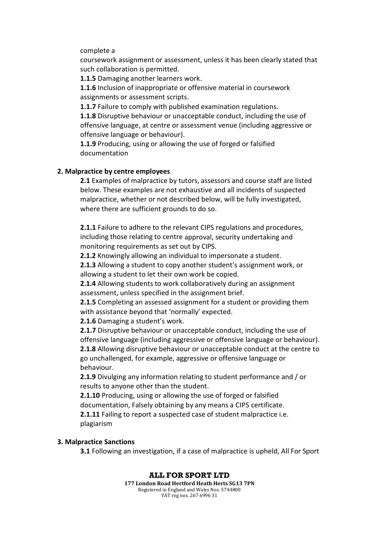#### complete a

coursework assignment or assessment, unless it has been clearly stated that such collaboration is permitted.

**1.1.5** Damaging another learners work.

**1.1.6** Inclusion of inappropriate or offensive material in coursework assignments or assessment scripts.

**1.1.7** Failure to comply with published examination regulations.

**1.1.8** Disruptive behaviour or unacceptable conduct, including the use of offensive language, at centre or assessment venue (including aggressive or offensive language or behaviour).

**1.1.9** Producing, using or allowing the use of forged or falsified documentation

#### **2. Malpractice by centre employees**

**2.1** Examples of malpractice by tutors, assessors and course staff are listed below. These examples are not exhaustive and all incidents of suspected malpractice, whether or not described below, will be fully investigated, where there are sufficient grounds to do so.

**2.1.1** Failure to adhere to the relevant CIPS regulations and procedures, including those relating to centre approval, security undertaking and monitoring requirements as set out by CIPS.

**2.1.2** Knowingly allowing an individual to impersonate a student.

**2.1.3** Allowing a student to copy another student's assignment work, or allowing a student to let their own work be copied.

**2.1.4** Allowing students to work collaboratively during an assignment assessment, unless specified in the assignment brief.

**2.1.5** Completing an assessed assignment for a student or providing them with assistance beyond that 'normally' expected.

**2.1.6** Damaging a student's work.

**2.1.7** Disruptive behaviour or unacceptable conduct, including the use of offensive language (including aggressive or offensive language or behaviour). **2.1.8** Allowing disruptive behaviour or unacceptable conduct at the centre to go unchallenged, for example, aggressive or offensive language or behaviour.

**2.1.9** Divulging any information relating to student performance and / or results to anyone other than the student.

**2.1.10** Producing, using or allowing the use of forged or falsified documentation, Falsely obtaining by any means a CIPS certificate.

**2.1.11** Failing to report a suspected case of student malpractice i.e. plagiarism

#### **3. Malpractice Sanctions**

**3.1** Following an investigation, if a case of malpractice is upheld, All For Sport

### **ALL FOR SPORT LTD**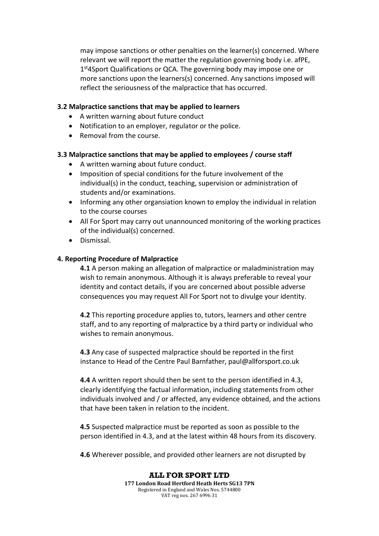may impose sanctions or other penalties on the learner(s) concerned. Where relevant we will report the matter the regulation governing body i.e. afPE,  $1<sup>st</sup>4$ Sport Qualifications or QCA. The governing body may impose one or more sanctions upon the learners(s) concerned. Any sanctions imposed will reflect the seriousness of the malpractice that has occurred.

#### **3.2 Malpractice sanctions that may be applied to learners**

- A written warning about future conduct
- Notification to an employer, regulator or the police.
- Removal from the course.

### **3.3 Malpractice sanctions that may be applied to employees / course staff**

- A written warning about future conduct.
- Imposition of special conditions for the future involvement of the individual(s) in the conduct, teaching, supervision or administration of students and/or examinations.
- Informing any other organsiation known to employ the individual in relation to the course courses
- All For Sport may carry out unannounced monitoring of the working practices of the individual(s) concerned.
- Dismissal.

### **4. Reporting Procedure of Malpractice**

**4.1** A person making an allegation of malpractice or maladministration may wish to remain anonymous. Although it is always preferable to reveal your identity and contact details, if you are concerned about possible adverse consequences you may request All For Sport not to divulge your identity.

**4.2** This reporting procedure applies to, tutors, learners and other centre staff, and to any reporting of malpractice by a third party or individual who wishes to remain anonymous.

**4.3** Any case of suspected malpractice should be reported in the first instance to Head of the Centre Paul Barnfather, paul@allforsport.co.uk

**4.4** A written report should then be sent to the person identified in 4.3, clearly identifying the factual information, including statements from other individuals involved and / or affected, any evidence obtained, and the actions that have been taken in relation to the incident.

**4.5** Suspected malpractice must be reported as soon as possible to the person identified in 4.3, and at the latest within 48 hours from its discovery.

**4.6** Wherever possible, and provided other learners are not disrupted by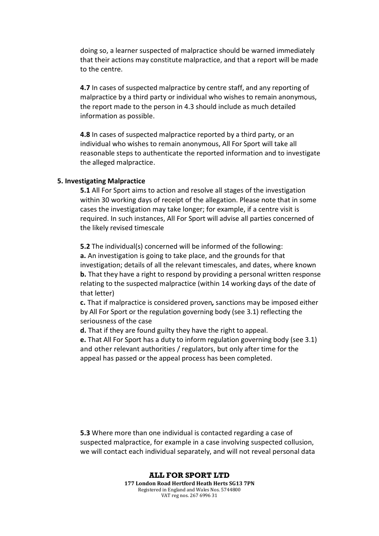doing so, a learner suspected of malpractice should be warned immediately that their actions may constitute malpractice, and that a report will be made to the centre.

**4.7** In cases of suspected malpractice by centre staff, and any reporting of malpractice by a third party or individual who wishes to remain anonymous, the report made to the person in 4.3 should include as much detailed information as possible.

**4.8** In cases of suspected malpractice reported by a third party, or an individual who wishes to remain anonymous, All For Sport will take all reasonable steps to authenticate the reported information and to investigate the alleged malpractice.

#### **5. Investigating Malpractice**

**5.1** All For Sport aims to action and resolve all stages of the investigation within 30 working days of receipt of the allegation. Please note that in some cases the investigation may take longer; for example, if a centre visit is required. In such instances, All For Sport will advise all parties concerned of the likely revised timescale

**5.2** The individual(s) concerned will be informed of the following: **a.** An investigation is going to take place, and the grounds for that investigation; details of all the relevant timescales, and dates, where known **b.** That they have a right to respond by providing a personal written response relating to the suspected malpractice (within 14 working days of the date of that letter)

**c.** That if malpractice is considered proven*,* sanctions may be imposed either by All For Sport or the regulation governing body (see 3.1) reflecting the seriousness of the case

**d.** That if they are found guilty they have the right to appeal.

**e.** That All For Sport has a duty to inform regulation governing body (see 3.1) and other relevant authorities / regulators, but only after time for the appeal has passed or the appeal process has been completed.

**5.3** Where more than one individual is contacted regarding a case of suspected malpractice, for example in a case involving suspected collusion, we will contact each individual separately, and will not reveal personal data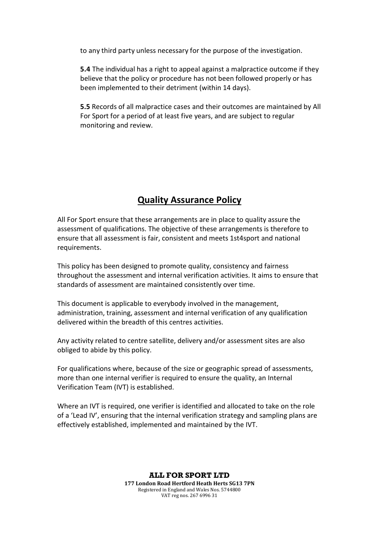to any third party unless necessary for the purpose of the investigation.

**5.4** The individual has a right to appeal against a malpractice outcome if they believe that the policy or procedure has not been followed properly or has been implemented to their detriment (within 14 days).

**5.5** Records of all malpractice cases and their outcomes are maintained by All For Sport for a period of at least five years, and are subject to regular monitoring and review*.*

## **Quality Assurance Policy**

All For Sport ensure that these arrangements are in place to quality assure the assessment of qualifications. The objective of these arrangements is therefore to ensure that all assessment is fair, consistent and meets 1st4sport and national requirements.

This policy has been designed to promote quality, consistency and fairness throughout the assessment and internal verification activities. It aims to ensure that standards of assessment are maintained consistently over time.

This document is applicable to everybody involved in the management, administration, training, assessment and internal verification of any qualification delivered within the breadth of this centres activities.

Any activity related to centre satellite, delivery and/or assessment sites are also obliged to abide by this policy.

For qualifications where, because of the size or geographic spread of assessments, more than one internal verifier is required to ensure the quality, an Internal Verification Team (IVT) is established.

Where an IVT is required, one verifier is identified and allocated to take on the role of a 'Lead IV', ensuring that the internal verification strategy and sampling plans are effectively established, implemented and maintained by the IVT.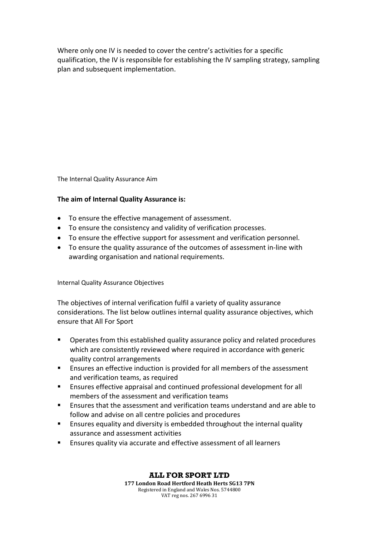Where only one IV is needed to cover the centre's activities for a specific qualification, the IV is responsible for establishing the IV sampling strategy, sampling plan and subsequent implementation.

The Internal Quality Assurance Aim

### **The aim of Internal Quality Assurance is:**

- To ensure the effective management of assessment.
- To ensure the consistency and validity of verification processes.
- To ensure the effective support for assessment and verification personnel.
- To ensure the quality assurance of the outcomes of assessment in-line with awarding organisation and national requirements.

Internal Quality Assurance Objectives

The objectives of internal verification fulfil a variety of quality assurance considerations. The list below outlines internal quality assurance objectives, which ensure that All For Sport

- Operates from this established quality assurance policy and related procedures which are consistently reviewed where required in accordance with generic quality control arrangements
- **Ensures an effective induction is provided for all members of the assessment** and verification teams, as required
- Ensures effective appraisal and continued professional development for all members of the assessment and verification teams
- Ensures that the assessment and verification teams understand and are able to follow and advise on all centre policies and procedures
- **Ensures equality and diversity is embedded throughout the internal quality** assurance and assessment activities
- Ensures quality via accurate and effective assessment of all learners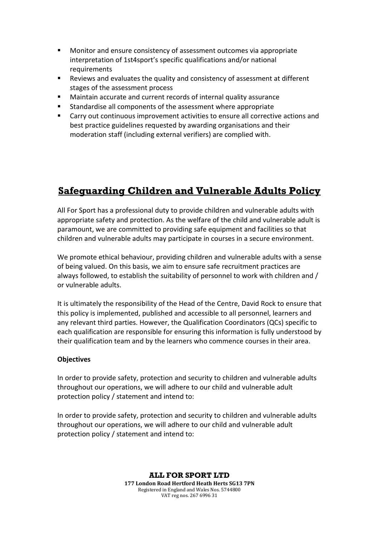- **Monitor and ensure consistency of assessment outcomes via appropriate** interpretation of 1st4sport's specific qualifications and/or national requirements
- Reviews and evaluates the quality and consistency of assessment at different stages of the assessment process
- Maintain accurate and current records of internal quality assurance
- Standardise all components of the assessment where appropriate
- Carry out continuous improvement activities to ensure all corrective actions and best practice guidelines requested by awarding organisations and their moderation staff (including external verifiers) are complied with.

# **Safeguarding Children and Vulnerable Adults Policy**

All For Sport has a professional duty to provide children and vulnerable adults with appropriate safety and protection. As the welfare of the child and vulnerable adult is paramount, we are committed to providing safe equipment and facilities so that children and vulnerable adults may participate in courses in a secure environment.

We promote ethical behaviour, providing children and vulnerable adults with a sense of being valued. On this basis, we aim to ensure safe recruitment practices are always followed, to establish the suitability of personnel to work with children and / or vulnerable adults.

It is ultimately the responsibility of the Head of the Centre, David Rock to ensure that this policy is implemented, published and accessible to all personnel, learners and any relevant third parties. However, the Qualification Coordinators (QCs) specific to each qualification are responsible for ensuring this information is fully understood by their qualification team and by the learners who commence courses in their area.

### **Objectives**

In order to provide safety, protection and security to children and vulnerable adults throughout our operations, we will adhere to our child and vulnerable adult protection policy / statement and intend to:

In order to provide safety, protection and security to children and vulnerable adults throughout our operations, we will adhere to our child and vulnerable adult protection policy / statement and intend to: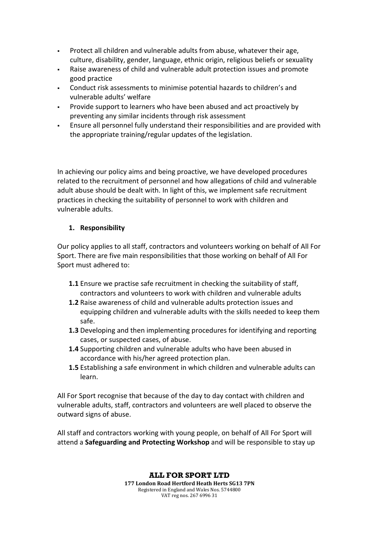- Protect all children and vulnerable adults from abuse, whatever their age, culture, disability, gender, language, ethnic origin, religious beliefs or sexuality
- Raise awareness of child and vulnerable adult protection issues and promote good practice
- Conduct risk assessments to minimise potential hazards to children's and vulnerable adults' welfare
- Provide support to learners who have been abused and act proactively by preventing any similar incidents through risk assessment
- Ensure all personnel fully understand their responsibilities and are provided with the appropriate training/regular updates of the legislation.

In achieving our policy aims and being proactive, we have developed procedures related to the recruitment of personnel and how allegations of child and vulnerable adult abuse should be dealt with. In light of this, we implement safe recruitment practices in checking the suitability of personnel to work with children and vulnerable adults.

### **1. Responsibility**

Our policy applies to all staff, contractors and volunteers working on behalf of All For Sport. There are five main responsibilities that those working on behalf of All For Sport must adhered to:

- **1.1** Ensure we practise safe recruitment in checking the suitability of staff, contractors and volunteers to work with children and vulnerable adults
- **1.2** Raise awareness of child and vulnerable adults protection issues and equipping children and vulnerable adults with the skills needed to keep them safe.
- **1.3** Developing and then implementing procedures for identifying and reporting cases, or suspected cases, of abuse.
- **1.4** Supporting children and vulnerable adults who have been abused in accordance with his/her agreed protection plan.
- **1.5** Establishing a safe environment in which children and vulnerable adults can learn.

All For Sport recognise that because of the day to day contact with children and vulnerable adults, staff, contractors and volunteers are well placed to observe the outward signs of abuse.

All staff and contractors working with young people, on behalf of All For Sport will attend a **Safeguarding and Protecting Workshop** and will be responsible to stay up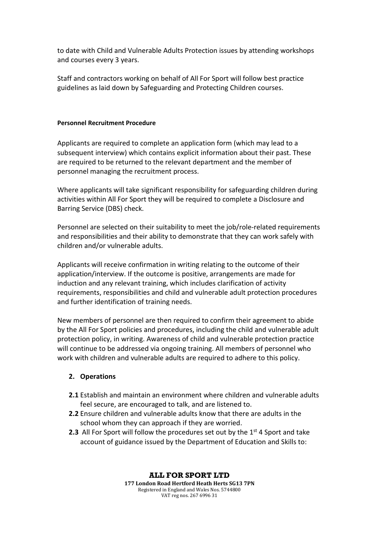to date with Child and Vulnerable Adults Protection issues by attending workshops and courses every 3 years.

Staff and contractors working on behalf of All For Sport will follow best practice guidelines as laid down by Safeguarding and Protecting Children courses.

#### **Personnel Recruitment Procedure**

Applicants are required to complete an application form (which may lead to a subsequent interview) which contains explicit information about their past. These are required to be returned to the relevant department and the member of personnel managing the recruitment process.

Where applicants will take significant responsibility for safeguarding children during activities within All For Sport they will be required to complete a Disclosure and Barring Service (DBS) check.

Personnel are selected on their suitability to meet the job/role-related requirements and responsibilities and their ability to demonstrate that they can work safely with children and/or vulnerable adults.

Applicants will receive confirmation in writing relating to the outcome of their application/interview. If the outcome is positive, arrangements are made for induction and any relevant training, which includes clarification of activity requirements, responsibilities and child and vulnerable adult protection procedures and further identification of training needs.

New members of personnel are then required to confirm their agreement to abide by the All For Sport policies and procedures, including the child and vulnerable adult protection policy, in writing. Awareness of child and vulnerable protection practice will continue to be addressed via ongoing training. All members of personnel who work with children and vulnerable adults are required to adhere to this policy.

#### **2. Operations**

- **2.1** Establish and maintain an environment where children and vulnerable adults feel secure, are encouraged to talk, and are listened to.
- **2.2** Ensure children and vulnerable adults know that there are adults in the school whom they can approach if they are worried.
- **2.3** All For Sport will follow the procedures set out by the  $1<sup>st</sup>$  4 Sport and take account of guidance issued by the Department of Education and Skills to: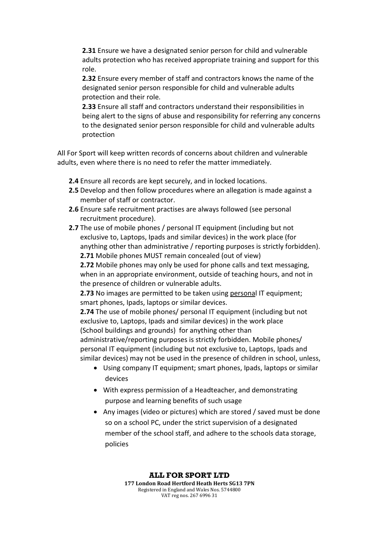**2.31** Ensure we have a designated senior person for child and vulnerable adults protection who has received appropriate training and support for this role.

**2.32** Ensure every member of staff and contractors knows the name of the designated senior person responsible for child and vulnerable adults protection and their role.

**2.33** Ensure all staff and contractors understand their responsibilities in being alert to the signs of abuse and responsibility for referring any concerns to the designated senior person responsible for child and vulnerable adults protection

All For Sport will keep written records of concerns about children and vulnerable adults, even where there is no need to refer the matter immediately.

- **2.4** Ensure all records are kept securely, and in locked locations.
- **2.5** Develop and then follow procedures where an allegation is made against a member of staff or contractor.
- **2.6** Ensure safe recruitment practises are always followed (see personal recruitment procedure).
- **2.7** The use of mobile phones / personal IT equipment (including but not exclusive to, Laptops, Ipads and similar devices) in the work place (for anything other than administrative / reporting purposes is strictly forbidden). **2.71** Mobile phones MUST remain concealed (out of view)

**2.72** Mobile phones may only be used for phone calls and text messaging, when in an appropriate environment, outside of teaching hours, and not in the presence of children or vulnerable adults.

**2.73** No images are permitted to be taken using personal IT equipment; smart phones, Ipads, laptops or similar devices.

**2.74** The use of mobile phones/ personal IT equipment (including but not exclusive to, Laptops, Ipads and similar devices) in the work place (School buildings and grounds) for anything other than

administrative/reporting purposes is strictly forbidden. Mobile phones/ personal IT equipment (including but not exclusive to, Laptops, Ipads and similar devices) may not be used in the presence of children in school, unless,

- Using company IT equipment; smart phones, Ipads, laptops or similar devices
- With express permission of a Headteacher, and demonstrating purpose and learning benefits of such usage
- Any images (video or pictures) which are stored / saved must be done so on a school PC, under the strict supervision of a designated member of the school staff, and adhere to the schools data storage, policies